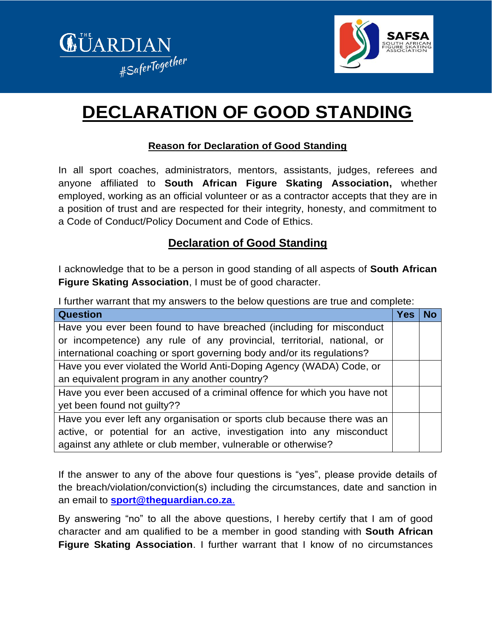



## **DECLARATION OF GOOD STANDING**

## **Reason for Declaration of Good Standing**

In all sport coaches, administrators, mentors, assistants, judges, referees and anyone affiliated to **South African Figure Skating Association,** whether employed, working as an official volunteer or as a contractor accepts that they are in a position of trust and are respected for their integrity, honesty, and commitment to a Code of Conduct/Policy Document and Code of Ethics.

## **Declaration of Good Standing**

I acknowledge that to be a person in good standing of all aspects of **South African Figure Skating Association**, I must be of good character.

I further warrant that my answers to the below questions are true and complete:

| <b>Question</b>                                                         | <b>Yes</b> | No |
|-------------------------------------------------------------------------|------------|----|
| Have you ever been found to have breached (including for misconduct     |            |    |
| or incompetence) any rule of any provincial, territorial, national, or  |            |    |
| international coaching or sport governing body and/or its regulations?  |            |    |
| Have you ever violated the World Anti-Doping Agency (WADA) Code, or     |            |    |
| an equivalent program in any another country?                           |            |    |
| Have you ever been accused of a criminal offence for which you have not |            |    |
| yet been found not guilty??                                             |            |    |
| Have you ever left any organisation or sports club because there was an |            |    |
| active, or potential for an active, investigation into any misconduct   |            |    |
| against any athlete or club member, vulnerable or otherwise?            |            |    |

If the answer to any of the above four questions is "yes", please provide details of the breach/violation/conviction(s) including the circumstances, date and sanction in an email to **[sport@theguardian.co.za](mailto:sport@theguardian.co.za.)**.

By answering "no" to all the above questions, I hereby certify that I am of good character and am qualified to be a member in good standing with **South African Figure Skating Association**. I further warrant that I know of no circumstances